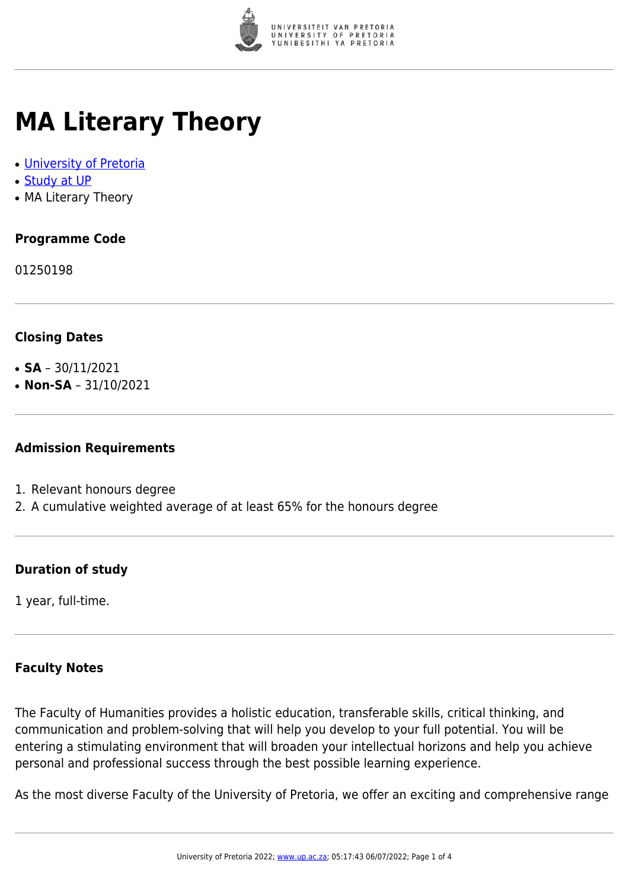

## **MA Literary Theory**

- [University of Pretoria](https://www.up.ac.za/home)
- [Study at UP](https://www.up.ac.za/programmes)
- MA Literary Theory

### **Programme Code**

01250198

#### **Closing Dates**

- **SA**  $30/11/2021$
- $\cdot$  **Non-SA** 31/10/2021

#### **Admission Requirements**

- 1. Relevant honours degree
- 2. A cumulative weighted average of at least 65% for the honours degree

#### **Duration of study**

1 year, full-time.

#### **Faculty Notes**

The Faculty of Humanities provides a holistic education, transferable skills, critical thinking, and communication and problem-solving that will help you develop to your full potential. You will be entering a stimulating environment that will broaden your intellectual horizons and help you achieve personal and professional success through the best possible learning experience.

As the most diverse Faculty of the University of Pretoria, we offer an exciting and comprehensive range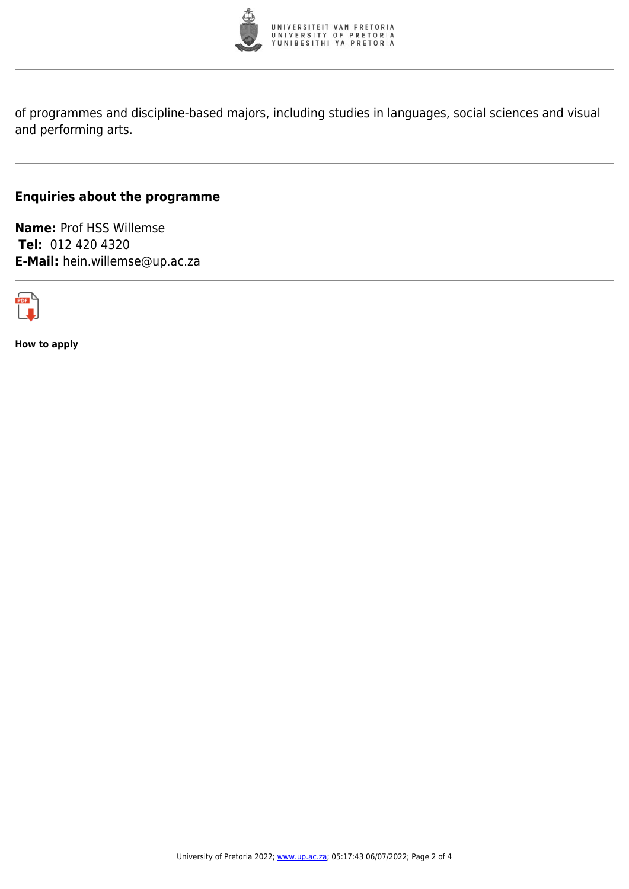

of programmes and discipline-based majors, including studies in languages, social sciences and visual and performing arts.

#### **Enquiries about the programme**

**Name:** Prof HSS Willemse **Tel:** 012 420 4320 **E-Mail:** hein.willemse@up.ac.za



**How to apply**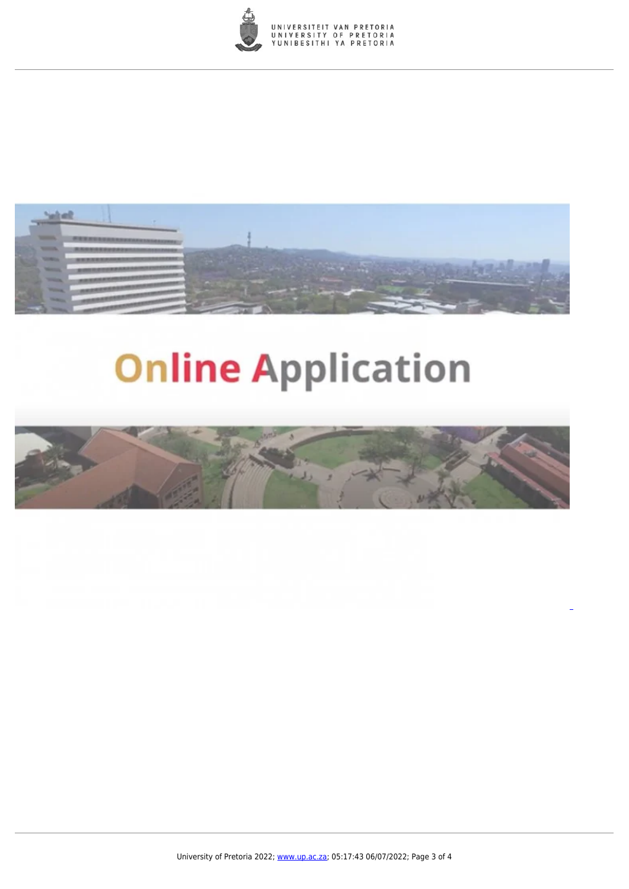



# **Online Application**